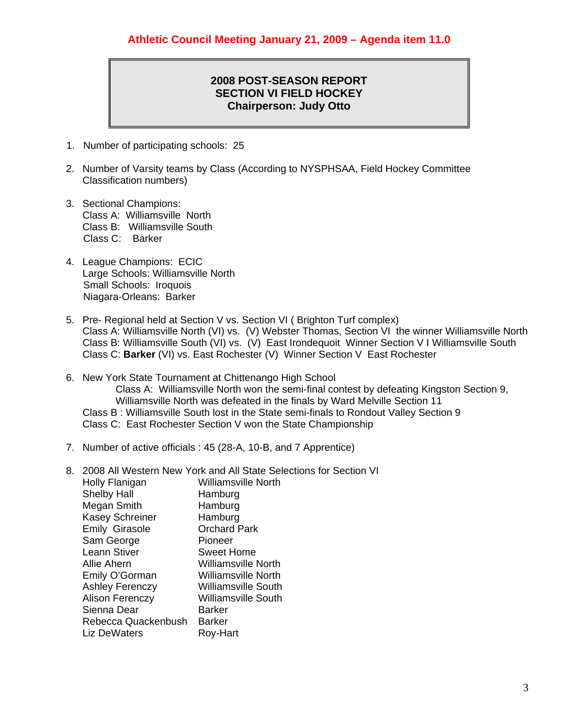## **2008 POST-SEASON REPORT SECTION VI FIELD HOCKEY Chairperson: Judy Otto**

- 1. Number of participating schools: 25
- 2. Number of Varsity teams by Class (According to NYSPHSAA, Field Hockey Committee Classification numbers)
- 3. Sectional Champions: Class A: Williamsville North Class B: Williamsville South Class C: Barker
- 4. League Champions: ECIC Large Schools: Williamsville North Small Schools: Iroquois Niagara-Orleans: Barker
- 5. Pre- Regional held at Section V vs. Section VI ( Brighton Turf complex) Class A: Williamsville North (VI) vs. (V) Webster Thomas, Section VI the winner Williamsville North Class B: Williamsville South (VI) vs. (V) East Irondequoit Winner Section V I Williamsville South Class C: **Barker** (VI) vs. East Rochester (V) Winner Section V East Rochester
- 6. New York State Tournament at Chittenango High School Class A: Williamsville North won the semi-final contest by defeating Kingston Section 9, Williamsville North was defeated in the finals by Ward Melville Section 11 Class B : Williamsville South lost in the State semi-finals to Rondout Valley Section 9 Class C: East Rochester Section V won the State Championship
- 7. Number of active officials : 45 (28-A, 10-B, and 7 Apprentice)
- 8. 2008 All Western New York and All State Selections for Section VI Holly Flanigan Williamsville North Shelby Hall Hamburg Megan Smith Hamburg Kasey Schreiner Hamburg Emily Girasole Orchard Park Sam George Pioneer Leann Stiver **Sweet Home** Allie Ahern Williamsville North Emily O'Gorman Williamsville North Ashley Ferenczy Williamsville South Alison Ferenczy Williamsville South Sienna Dear **Barker** Rebecca Quackenbush Barker Liz DeWaters **Roy-Hart**